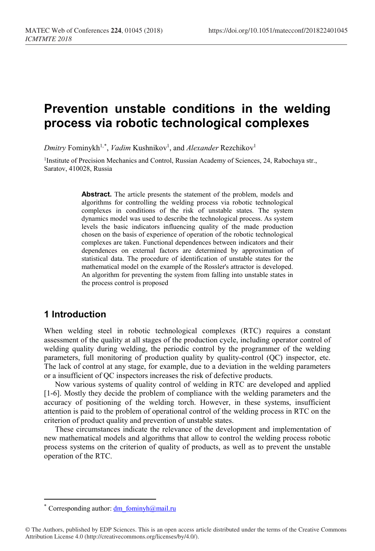# **Prevention unstable conditions in the welding process via robotic technological complexes**

 $D$ mitry Fominykh<sup>1,[\\*](#page-0-0)</sup>, *Vadim* Kushnikov<sup>1</sup>, and *Alexander* Rezchikov<sup>1</sup>

<sup>1</sup>Institute of Precision Mechanics and Control, Russian Academy of Sciences, 24, Rabochaya str., Saratov, 410028, Russia

> **Abstract.** The article presents the statement of the problem, models and algorithms for controlling the welding process via robotic technological complexes in conditions of the risk of unstable states. The system dynamics model was used to describe the technological process. As system levels the basic indicators influencing quality of the made production chosen on the basis of experience of operation of the robotic technological complexes are taken. Functional dependences between indicators and their dependences on external factors are determined by approximation of statistical data. The procedure of identification of unstable states for the mathematical model on the example of the Rossler's attractor is developed. An algorithm for preventing the system from falling into unstable states in the process control is proposed

# **1 Introduction**

When welding steel in robotic technological complexes (RTC) requires a constant assessment of the quality at all stages of the production cycle, including operator control of welding quality during welding, the periodic control by the programmer of the welding parameters, full monitoring of production quality by quality-control (QC) inspector, etc. The lack of control at any stage, for example, due to a deviation in the welding parameters or a insufficient of QC inspectors increases the risk of defective products.

Now various systems of quality control of welding in RTC are developed and applied [1-6]. Mostly they decide the problem of compliance with the welding parameters and the accuracy of positioning of the welding torch. However, in these systems, insufficient attention is paid to the problem of operational control of the welding process in RTC on the criterion of product quality and prevention of unstable states.

These circumstances indicate the relevance of the development and implementation of new mathematical models and algorithms that allow to control the welding process robotic process systems on the criterion of quality of products, as well as to prevent the unstable operation of the RTC.

 $\overline{a}$ 

Corresponding author: dm\_fominyh $@$ mail.ru

<span id="page-0-0"></span><sup>©</sup> The Authors, published by EDP Sciences. This is an open access article distributed under the terms of the Creative Commons Attribution License 4.0 (http://creativecommons.org/licenses/by/4.0/).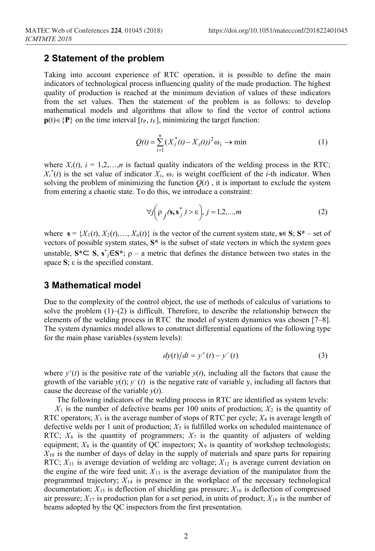### **2 Statement of the problem**

Taking into account experience of RTC operation, it is possible to define the main indicators of technological process influencing quality of the made production. The highest quality of production is reached at the minimum deviation of values of these indicators from the set values. Then the statement of the problem is as follows: to develop mathematical models and algorithms that allow to find the vector of control actions **p**(t)∈{**P**} on the time interval  $[t_P, t_F]$ , minimizing the target function:

$$
Q(t) = \sum_{i=1}^{n} (X_i^*(t) - X_i(t))^2 \omega_i \to \min
$$
 (1)

where  $X_i(t)$ ,  $i = 1,2,...,n$  is factual quality indicators of the welding process in the RTC;  $X_i^*(t)$  is the set value of indicator  $X_i$ ,  $\omega_i$  is weight coefficient of the *i*-th indicator. When solving the problem of minimizing the function  $O(t)$ , it is important to exclude the system from entering a chaotic state. To do this, we introduce a constraint:

$$
\forall j \bigg( \rho_j(\mathbf{s}, \mathbf{s}^*_j) > \varepsilon \bigg), j = 1, 2, ..., m \tag{2}
$$

where  $\mathbf{s} = \{X_1(t), X_2(t), \ldots, X_n(t)\}\$ is the vector of the current system state,  $\mathbf{s} \in \mathbf{S}$ ;  $\mathbf{S}^*$  – set of vectors of possible system states,  $S^*$  is the subset of state vectors in which the system goes unstable,  $S^* \subseteq S$ ,  $s^* \in S^*$ ;  $\rho - a$  metric that defines the distance between two states in the space **S**; ε is the specified constant.

#### **3 Mathematical model**

Due to the complexity of the control object, the use of methods of calculus of variations to solve the problem  $(1)$ – $(2)$  is difficult. Therefore, to describe the relationship between the elements of the welding process in RTC the model of system dynamics was chosen [7–8]. The system dynamics model allows to construct differential equations of the following type for the main phase variables (system levels):

$$
dy(t)/dt = y^{+}(t) - y^{-}(t)
$$
 (3)

where  $y^+(t)$  is the positive rate of the variable  $y(t)$ , including all the factors that cause the growth of the variable  $y(t)$ ;  $y^{-}(t)$  is the negative rate of variable y, including all factors that cause the decrease of the variable  $y(t)$ .

The following indicators of the welding process in RTC are identified as system levels:

 $X_1$  is the number of defective beams per 100 units of production;  $X_2$  is the quantity of RTC operators;  $X_3$  is the average number of stops of RTC per cycle;  $X_4$  is average length of defective welds per 1 unit of production;  $X_5$  is fulfilled works on scheduled maintenance of RTC;  $X_6$  is the quantity of programmers;  $X_7$  is the quantity of adjusters of welding equipment;  $X_8$  is the quantity of QC inspectors;  $X_9$  is quantity of workshop technologists;  $X_{10}$  is the number of days of delay in the supply of materials and spare parts for repairing RTC;  $X_{11}$  is average deviation of welding arc voltage;  $X_{12}$  is average current deviation on the engine of the wire feed unit;  $X_{13}$  is the average deviation of the manipulator from the programmed trajectory; *X*<sup>14</sup> is presence in the workplace of the necessary technological documentation;  $X_{15}$  is deflection of shielding gas pressure;  $X_{16}$  is deflection of compressed air pressure;  $X_{17}$  is production plan for a set period, in units of product;  $X_{18}$  is the number of beams adopted by the QC inspectors from the first presentation.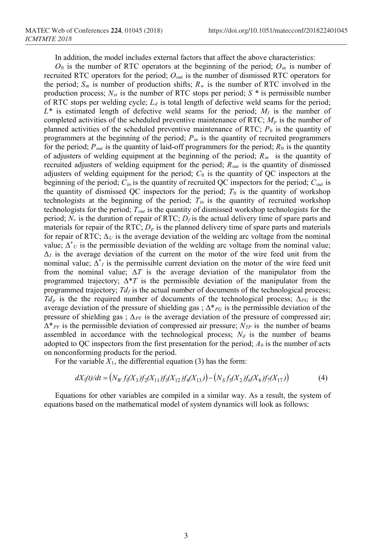In addition, the model includes external factors that affect the above characteristics:

 $O_0$  is the number of RTC operators at the beginning of the period;  $O_{in}$  is number of recruited RTC operators for the period; *Oou*<sup>t</sup> is the number of dismissed RTC operators for the period;  $S_m$  is number of production shifts;  $R_w$  is the number of RTC involved in the production process;  $N_{st}$  is the number of RTC stops per period;  $S^*$  is permissible number of RTC stops per welding cycle;  $L_d$  is total length of defective weld seams for the period;  $L^*$  is estimated length of defective weld seams for the period;  $M_f$  is the number of completed activities of the scheduled preventive maintenance of RTC; *Mp* is the number of planned activities of the scheduled preventive maintenance of RTC;  $P_0$  is the quantity of programmers at the beginning of the period;  $P_{in}$  is the quantity of recruited programmers for the period;  $P_{out}$  is the quantity of laid-off programmers for the period;  $R_0$  is the quantity of adjusters of welding equipment at the beginning of the period; *Rin* is the quantity of recruited adjusters of welding equipment for the period; *Rout* is the quantity of dismissed adjusters of welding equipment for the period;  $C_0$  is the quantity of QC inspectors at the beginning of the period; *Сin* is the quantity of recruited QC inspectors for the period; *Cout* is the quantity of dismissed QC inspectors for the period;  $T_0$  is the quantity of workshop technologists at the beginning of the period;  $T_{in}$  is the quantity of recruited workshop technologists for the period; *Tout* is the quantity of dismissed workshop technologists for the period;  $N_r$  is the duration of repair of RTC;  $D_f$  is the actual delivery time of spare parts and materials for repair of the RTC;  $D<sub>p</sub>$  is the planned delivery time of spare parts and materials for repair of RTC;  $\Delta_U$  is the average deviation of the welding arc voltage from the nominal value;  $\Delta^*$  *U* is the permissible deviation of the welding arc voltage from the nominal value;  $\Delta$ *I* is the average deviation of the current on the motor of the wire feed unit from the nominal value;  $\Delta^*$  *I* is the permissible current deviation on the motor of the wire feed unit from the nominal value;  $\Delta T$  is the average deviation of the manipulator from the programmed trajectory;  $\Delta^*T$  is the permissible deviation of the manipulator from the programmed trajectory;  $Td_f$  is the actual number of documents of the technological process;  $Td_p$  is the the required number of documents of the technological process;  $\Delta_{PG}$  is the average deviation of the pressure of shielding gas;  $\Delta^*_{PG}$  is the permissible deviation of the pressure of shielding gas;  $\Delta_{PV}$  is the average deviation of the pressure of compressed air;  $\Delta^*_{PV}$  is the permissible deviation of compressed air pressure;  $N_{TP}$  is the number of beams assembled in accordance with the technological process;  $N_d$  is the number of beams adopted to QC inspectors from the first presentation for the period;  $A<sub>b</sub>$  is the number of acts on nonconforming products for the period.

For the variable  $X_1$ , the differential equation (3) has the form:

$$
dX_1(t)/dt = (N_W f_1(X_3) f_2(X_{11}) f_3(X_{12}) f_4(X_{13}) - (N_S f_5(X_2) f_6(X_8) f_7(X_{17}))
$$
\n(4)

Equations for other variables are compiled in a similar way. As a result, the system of equations based on the mathematical model of system dynamics will look as follows: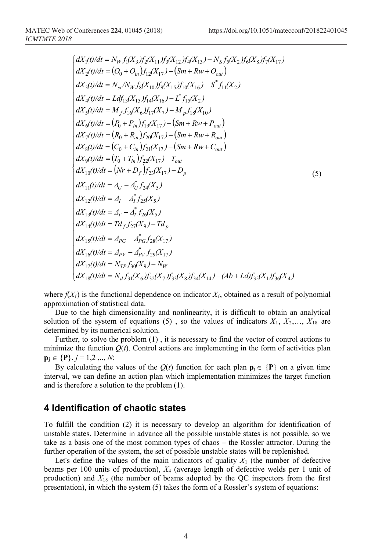$$
\begin{cases}\n dX_1(t)/dt = N_W f_1(X_3) f_2(X_{11}) f_3(X_{12}) f_4(X_{13}) - N_S f_5(X_2) f_6(X_8) f_7(X_{17}) \\
 dX_2(t)/dt = (O_0 + O_{in}) f_{12}(X_{17}) - (Sm + Rw + O_{out}) \\
 dX_3(t)/dt = N_{st}/N_W f_8(X_{10}) f_9(X_{15}) f_{10}(X_{16}) - S^* f_{11}(X_2) \\
 dX_4(t)/dt = Ldf_{13}(X_{15}) f_{14}(X_{16}) - L^* f_{15}(X_2) \\
 dX_5(t)/dt = M_f f_{16}(X_6) f_{17}(X_7) - M_p f_{18}(X_{10}) \\
 dX_6(t)/dt = (P_0 + P_{in}) f_{19}(X_{17}) - (Sm + Rw + P_{out}) \\
 dX_7(t)/dt = (R_0 + R_{in}) f_{20}(X_{17}) - (Sm + Rw + R_{out}) \\
 dX_8(t)/dt = (C_0 + C_{in}) f_{21}(X_{17}) - (Sm + Rw + C_{out}) \\
 dX_9(t)/dt = (T_0 + T_{in}) f_{22}(X_{17}) - T_{out} \\
 dX_{10}(t)/dt = (Nr + D_f) f_{23}(X_{17}) - D_p \\
 dX_{11}(t)/dt = A_U - \Delta_U^* f_{24}(X_5) \\
 dX_{12}(t)/dt = A_I - \Delta_I^* f_{25}(X_5) \\
 dX_{13}(t)/dt = A_I - \Delta_I^* f_{25}(X_5) \\
 dX_{14}(t)/dt = Td_f f_{27}(X_9) - Td_p \\
 dX_{15}(t)/dt = A_{PV} - \Delta_{PV}^* f_{29}(X_{17}) \\
 dX_{16}(t)/dt = A_{PV} - \Delta_{PV}^* f_{29}(X_{17}) \\
 dX_{17}(t)/dt = N_{VP} f_{30}(X_9) - N_W \\
 dX_{18}(t)/dt = N_{VP} f_{30}(X_9) - N_W \\
 dX_{18}(t)/dt = N_{V} f_{31}(X_6) f_{32}(X_7) f_{33}(X_8) f_{34}(X_{14}) - (Ab + Ld) f_{35}(X_1) f_{36}(X_4)\n\end{cases}
$$

where  $f(X_i)$  is the functional dependence on indicator  $X_i$ , obtained as a result of polynomial approximation of statistical data.

Due to the high dimensionality and nonlinearity, it is difficult to obtain an analytical solution of the system of equations (5), so the values of indicators  $X_1, X_2,..., X_{18}$  are determined by its numerical solution.

Further, to solve the problem (1) , it is necessary to find the vector of control actions to minimize the function  $Q(t)$ . Control actions are implementing in the form of activities plan  $\mathbf{p}_i \in \{P\}, j = 1, 2, ..., N$ :

By calculating the values of the  $Q(t)$  function for each plan  $\mathbf{p}_j \in \{P\}$  on a given time interval, we can define an action plan which implementation minimizes the target function and is therefore a solution to the problem (1).

#### **4 Identification of chaotic states**

To fulfill the condition (2) it is necessary to develop an algorithm for identification of unstable states. Determine in advance all the possible unstable states is not possible, so we take as a basis one of the most common types of chaos – the Rossler attractor. During the further operation of the system, the set of possible unstable states will be replenished.

Let's define the values of the main indicators of quality  $X_1$  (the number of defective beams per 100 units of production), *X*<sup>4</sup> (average length of defective welds per 1 unit of production) and *X*<sup>18</sup> (the number of beams adopted by the QC inspectors from the first presentation), in which the system (5) takes the form of a Rossler's system of equations: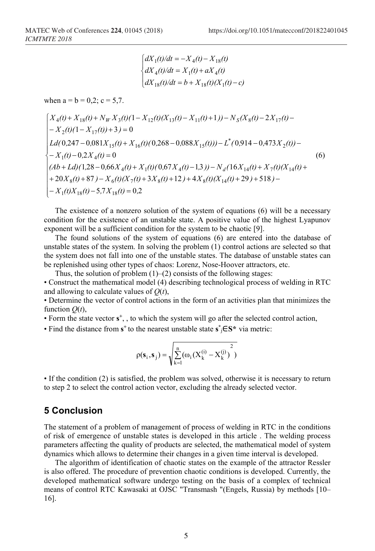$$
\begin{cases} dX_1(t)/dt = -X_4(t) - X_{18}(t) \\ dX_4(t)/dt = X_1(t) + aX_4(t) \\ dX_{18}(t)/dt = b + X_{18}(t)(X_1(t) - c) \end{cases}
$$

when  $a = b = 0,2$ ;  $c = 5,7$ .

$$
\begin{cases}\nX_4(t) + X_{18}(t) + N_W X_3(t)(1 - X_{12}(t)(X_{13}(t) - X_{11}(t) + 1)) - N_S(X_8(t) - 2X_{17}(t) - \\
-X_2(t)(1 - X_{17}(t)) + 3) = 0 \\
Ld(0,247 - 0,081X_{15}(t) + X_{16}(t)(0,268 - 0,088X_{15}(t))) - L^*(0,914 - 0,473X_2(t)) - \\
-X_1(t) - 0,2X_4(t) = 0 \\
(Ab + Ld)(1,28 - 0,66X_4(t) + X_1(t)(0,67X_4(t) - 1,3)) - N_d(16X_{14}(t) + X_7(t)(X_{14}(t) + \\
+ 20X_8(t) + 87) - X_6(t)(X_7(t) + 3X_8(t) + 12) + 4X_8(t)(X_{14}(t) + 29) + 518) - \\
-X_1(t)X_{18}(t) - 5,7X_{18}(t) = 0,2\n\end{cases} (6)
$$

The existence of a nonzero solution of the system of equations (6) will be a necessary condition for the existence of an unstable state. A positive value of the highest Lyapunov exponent will be a sufficient condition for the system to be chaotic [9].

The found solutions of the system of equations (6) are entered into the database of unstable states of the system. In solving the problem (1) control actions are selected so that the system does not fall into one of the unstable states. The database of unstable states can be replenished using other types of chaos: Lorenz, Nose-Hoover attractors, etc.

Thus, the solution of problem  $(1)$ – $(2)$  consists of the following stages:

• Сonstruct the mathematical model (4) describing technological process of welding in RTC and allowing to calculate values of *Q*(*t*),

• Determine the vector of control actions in the form of an activities plan that minimizes the function  $Q(t)$ ,

• Form the state vector **s+**, , to which the system will go after the selected control action,

• Find the distance from **s+** to the nearest unstable state **s\*** <sup>j</sup>∈**S\*** via metric:

$$
\rho(\boldsymbol{s}_i,\boldsymbol{s}_j)=\sqrt{\sum_{k=l}^n(\omega_i\big(X_k^{(i)}-X_k^{(j)}\big)^2)}
$$

• If the condition (2) is satisfied, the problem was solved, otherwise it is necessary to return to step 2 to select the control action vector, excluding the already selected vector.

# **5 Conclusion**

The statement of a problem of management of process of welding in RTC in the conditions of risk of emergence of unstable states is developed in this article . The welding process parameters affecting the quality of products are selected, the mathematical model of system dynamics which allows to determine their changes in a given time interval is developed.

The algorithm of identification of chaotic states on the example of the attractor Ressler is also offered. The procedure of prevention chaotic conditions is developed. Currently, the developed mathematical software undergo testing on the basis of a complex of technical means of control RTC Kawasaki at OJSC "Transmash "(Engels, Russia) by methods [10– 16].